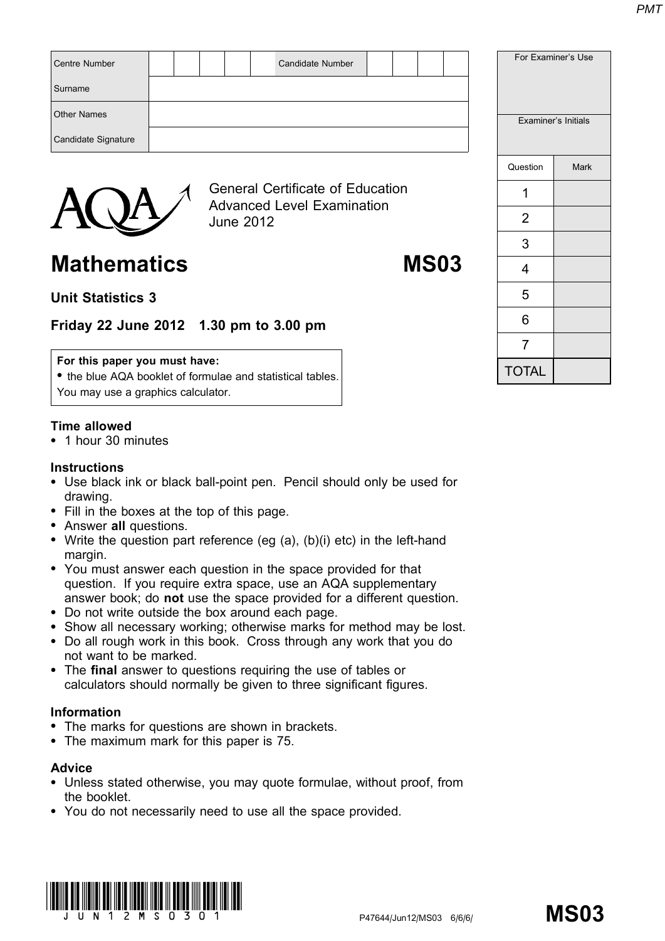| <b>Centre Number</b> |  |                  |                                                                              | <b>Candidate Number</b> |  |  |  |          | For Examiner's Use  |
|----------------------|--|------------------|------------------------------------------------------------------------------|-------------------------|--|--|--|----------|---------------------|
| Surname              |  |                  |                                                                              |                         |  |  |  |          |                     |
| <b>Other Names</b>   |  |                  |                                                                              |                         |  |  |  |          | Examiner's Initials |
| Candidate Signature  |  |                  |                                                                              |                         |  |  |  |          |                     |
|                      |  |                  |                                                                              |                         |  |  |  | Question | <b>Mark</b>         |
|                      |  |                  | <b>General Certificate of Education</b><br><b>Advanced Level Examination</b> |                         |  |  |  |          |                     |
|                      |  | <b>June 2012</b> |                                                                              |                         |  |  |  | າ        |                     |

# Mathematics MS03

## Unit Statistics 3

Friday 22 June 2012 1.30 pm to 3.00 pm

#### For this paper you must have:

• the blue AQA booklet of formulae and statistical tables. You may use a graphics calculator.

### Time allowed

\* 1 hour 30 minutes

#### **Instructions**

- Use black ink or black ball-point pen. Pencil should only be used for drawing.
- Fill in the boxes at the top of this page.
- Answer all questions.
- Write the question part reference (eg  $(a)$ ,  $(b)(i)$  etc) in the left-hand margin.
- You must answer each question in the space provided for that question. If you require extra space, use an AQA supplementary answer book; do not use the space provided for a different question.
- \* Do not write outside the box around each page.
- Show all necessary working; otherwise marks for method may be lost.
- \* Do all rough work in this book. Cross through any work that you do not want to be marked.
- The final answer to questions requiring the use of tables or calculators should normally be given to three significant figures.

#### Information

- The marks for questions are shown in brackets.
- The maximum mark for this paper is 75.

#### Advice

- \* Unless stated otherwise, you may quote formulae, without proof, from the booklet.
- \* You do not necessarily need to use all the space provided.



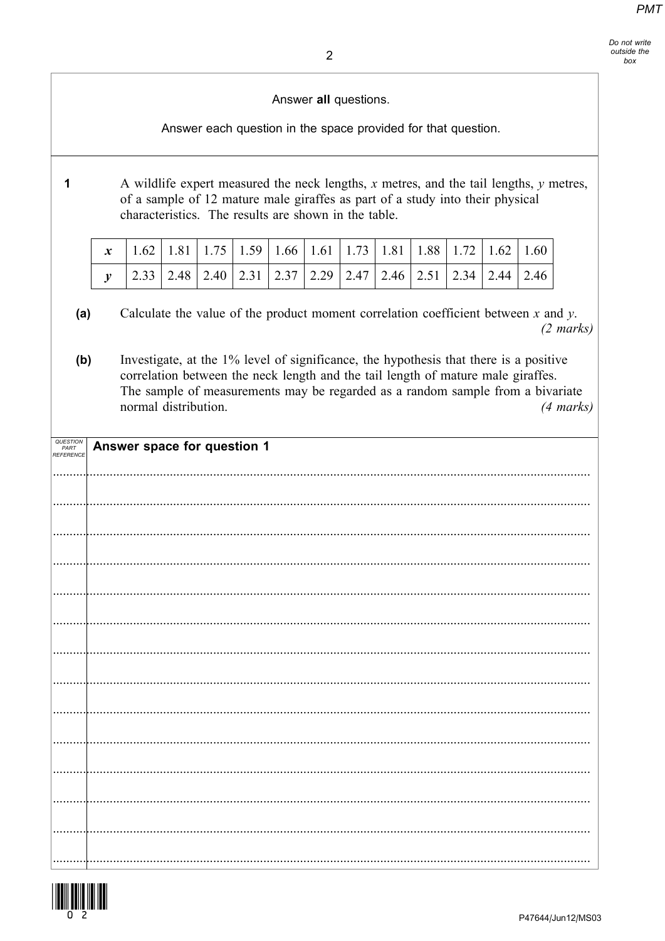Answer all questions.

Answer each question in the space provided for that question.

A wildlife expert measured the neck lengths,  $x$  metres, and the tail lengths,  $y$  metres,  $\mathbf{1}$ of a sample of 12 mature male giraffes as part of a study into their physical characteristics. The results are shown in the table.

| $x$   1.62   1.81   1.75   1.59   1.66   1.61   1.73   1.81   1.88   1.72   1.62   1.60 |  |  |  |  |  |  |
|-----------------------------------------------------------------------------------------|--|--|--|--|--|--|
| 2.33   2.48   2.40   2.31   2.37   2.29   2.47   2.46   2.51   2.34   2.44   2.46       |  |  |  |  |  |  |

Calculate the value of the product moment correlation coefficient between  $x$  and  $y$ .  $(a)$  $(2 \text{ marks})$ 

Investigate, at the 1% level of significance, the hypothesis that there is a positive  $(b)$ correlation between the neck length and the tail length of mature male giraffes. The sample of measurements may be regarded as a random sample from a bivariate normal distribution.  $(4 \text{ marks})$ 

| QUESTION<br>PART<br>REFERENCE | Answer space for question 1 |
|-------------------------------|-----------------------------|
|                               |                             |
|                               |                             |
|                               |                             |
|                               |                             |
|                               |                             |
|                               |                             |
|                               |                             |
|                               |                             |
|                               |                             |
|                               |                             |
|                               |                             |
|                               |                             |
|                               |                             |
|                               |                             |
|                               |                             |

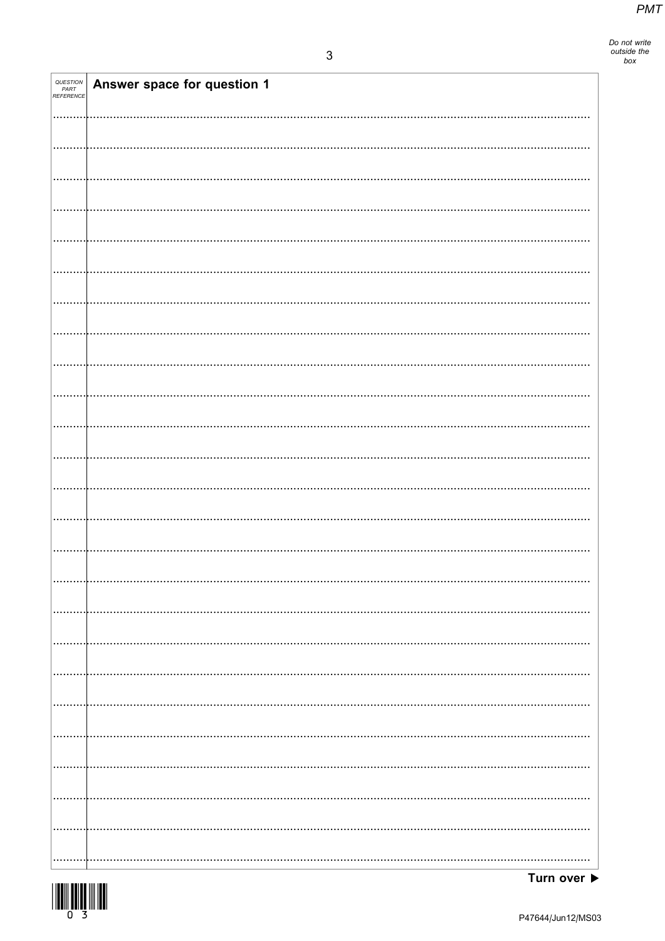Do not write<br>outside the<br>box

| QUESTION<br>PART<br>REFERENCE | Answer space for question 1 |
|-------------------------------|-----------------------------|
|                               |                             |
|                               |                             |
|                               |                             |
|                               |                             |
|                               |                             |
|                               |                             |
|                               |                             |
|                               |                             |
|                               |                             |
|                               |                             |
|                               |                             |
|                               |                             |
|                               |                             |
|                               |                             |
|                               |                             |
|                               |                             |
|                               |                             |
|                               |                             |
|                               |                             |
|                               |                             |
|                               |                             |
|                               |                             |
|                               |                             |
|                               |                             |
|                               |                             |
|                               |                             |
|                               |                             |
|                               |                             |
|                               |                             |
|                               |                             |



Turn over  $\blacktriangleright$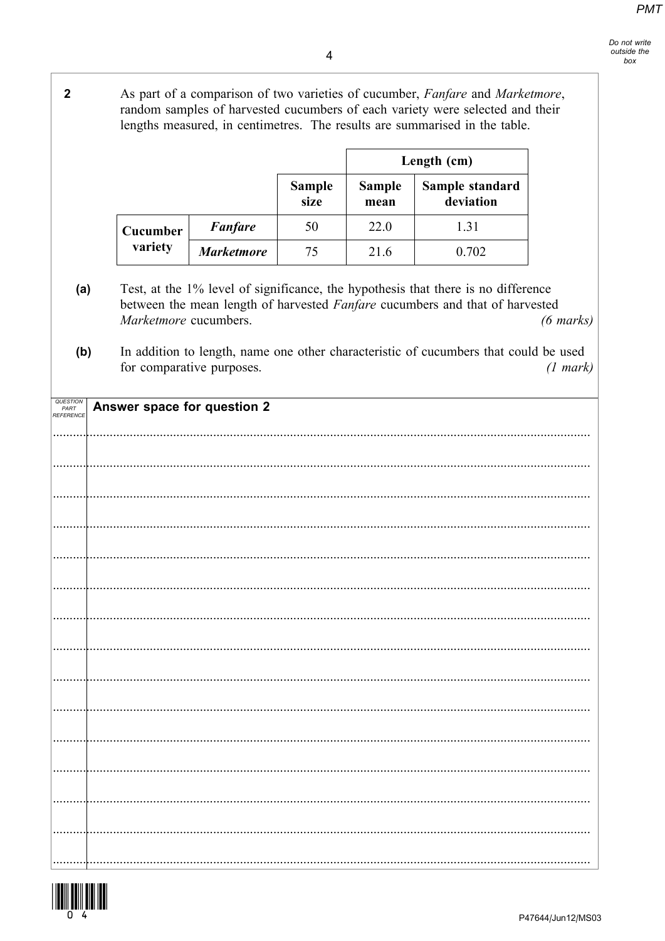As part of a comparison of two varieties of cucumber, Fanfare and Marketmore, random samples of harvested cucumbers of each variety were selected and their lengths measured, in centimetres. The results are summarised in the table.

Length (cm) **Sample Sample** Sample standard size mean deviation **Fanfare** 50 22.0 1.31 Cucumber variety **Marketmore** 75 21.6 0.702 Test, at the 1% level of significance, the hypothesis that there is no difference  $(a)$ between the mean length of harvested Fanfare cucumbers and that of harvested Marketmore cucumbers.  $(6 \text{ marks})$ In addition to length, name one other characteristic of cucumbers that could be used  $(b)$ for comparative purposes.  $(1 mark)$ QUESTION<br>PART<br>REFERENCI Answer space for question 2 



 $\overline{2}$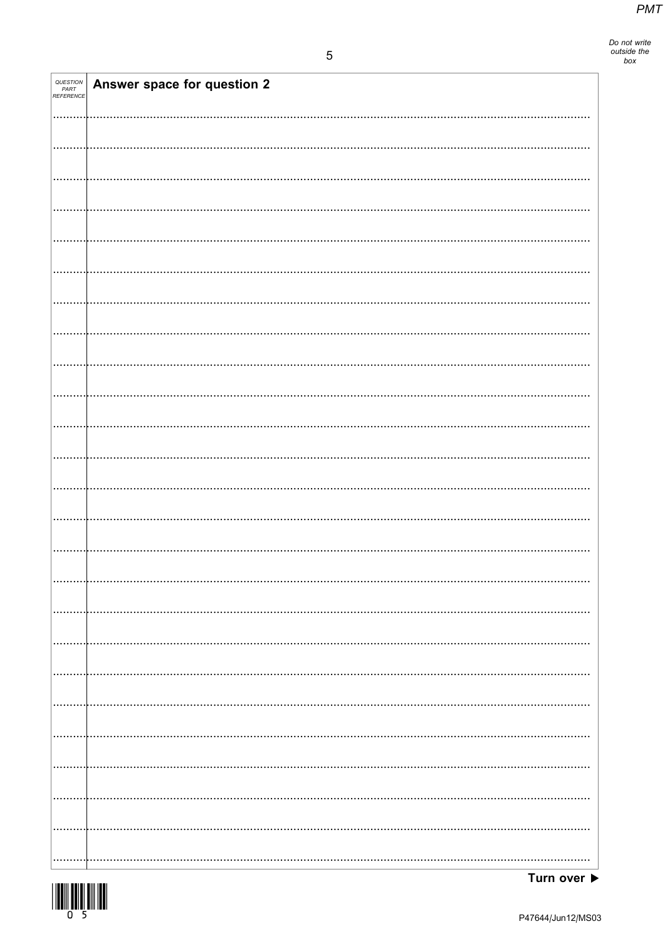Do not write<br>outside the<br>box

| QUESTION<br>PART<br>REFERENCE | Answer space for question 2 |
|-------------------------------|-----------------------------|
|                               |                             |
|                               |                             |
|                               |                             |
|                               |                             |
|                               |                             |
|                               |                             |
|                               |                             |
|                               |                             |
|                               |                             |
|                               |                             |
|                               |                             |
|                               |                             |
|                               |                             |
|                               |                             |
|                               |                             |
|                               |                             |
|                               |                             |
|                               |                             |
|                               |                             |
|                               |                             |
|                               |                             |
|                               |                             |
|                               |                             |
|                               |                             |
|                               |                             |

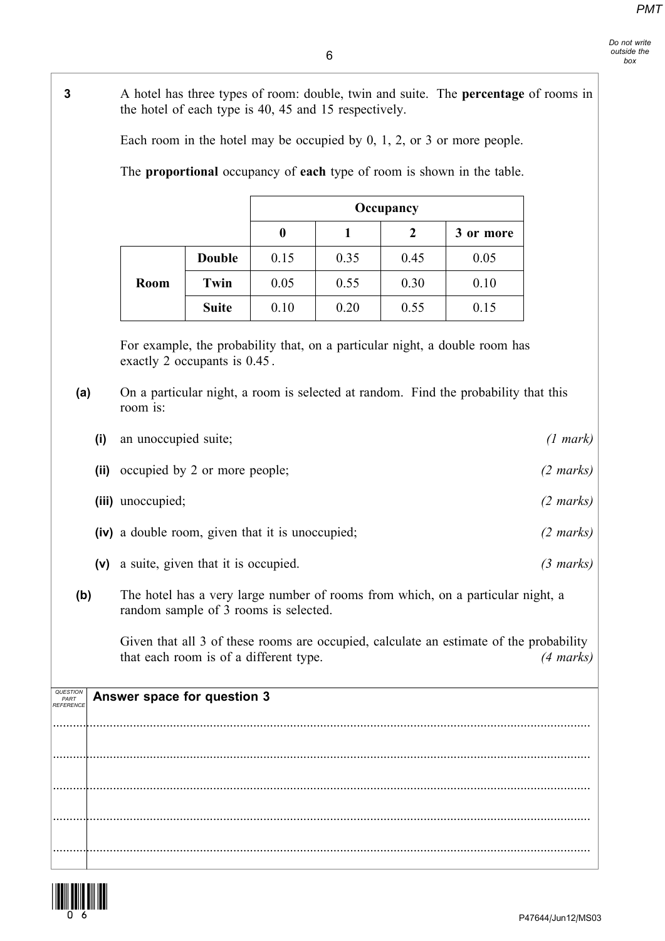| 3                             |       | A hotel has three types of room: double, twin and suite. The <b>percentage</b> of rooms in<br>the hotel of each type is 40, 45 and 15 respectively. |                                                  |                  |              |                |                                                                                        |                     |
|-------------------------------|-------|-----------------------------------------------------------------------------------------------------------------------------------------------------|--------------------------------------------------|------------------|--------------|----------------|----------------------------------------------------------------------------------------|---------------------|
|                               |       |                                                                                                                                                     |                                                  |                  |              |                | Each room in the hotel may be occupied by $0, 1, 2$ , or 3 or more people.             |                     |
|                               |       |                                                                                                                                                     |                                                  |                  |              |                | The proportional occupancy of each type of room is shown in the table.                 |                     |
|                               |       |                                                                                                                                                     |                                                  |                  |              | Occupancy      |                                                                                        |                     |
|                               |       |                                                                                                                                                     |                                                  | $\boldsymbol{0}$ | $\mathbf{1}$ | $\overline{2}$ | 3 or more                                                                              |                     |
|                               |       |                                                                                                                                                     | <b>Double</b>                                    | 0.15             | 0.35         | 0.45           | 0.05                                                                                   |                     |
|                               |       | Room                                                                                                                                                | Twin                                             | 0.05             | 0.55         | 0.30           | 0.10                                                                                   |                     |
|                               |       |                                                                                                                                                     | <b>Suite</b>                                     | 0.10             | 0.20         | 0.55           | 0.15                                                                                   |                     |
|                               |       |                                                                                                                                                     | exactly 2 occupants is 0.45.                     |                  |              |                | For example, the probability that, on a particular night, a double room has            |                     |
| (a)                           |       | room is:                                                                                                                                            |                                                  |                  |              |                | On a particular night, a room is selected at random. Find the probability that this    |                     |
|                               | (i)   | an unoccupied suite;                                                                                                                                |                                                  |                  |              |                |                                                                                        | $(1 \text{ mark})$  |
|                               | (iii) |                                                                                                                                                     | occupied by 2 or more people;                    |                  |              |                |                                                                                        | $(2 \text{ marks})$ |
|                               |       | (iii) unoccupied;                                                                                                                                   |                                                  |                  |              |                |                                                                                        | $(2 \text{ marks})$ |
|                               |       |                                                                                                                                                     | (iv) a double room, given that it is unoccupied; |                  |              |                |                                                                                        | $(2 \text{ marks})$ |
|                               | (v)   |                                                                                                                                                     | a suite, given that it is occupied.              |                  |              |                |                                                                                        | $(3 \text{ marks})$ |
| (b)                           |       |                                                                                                                                                     | random sample of 3 rooms is selected.            |                  |              |                | The hotel has a very large number of rooms from which, on a particular night, a        |                     |
|                               |       |                                                                                                                                                     | that each room is of a different type.           |                  |              |                | Given that all 3 of these rooms are occupied, calculate an estimate of the probability | (4 marks)           |
| QUESTION<br>PART<br>REFERENCE |       |                                                                                                                                                     | Answer space for question 3                      |                  |              |                |                                                                                        |                     |
|                               |       |                                                                                                                                                     |                                                  |                  |              |                |                                                                                        |                     |
|                               |       |                                                                                                                                                     |                                                  |                  |              |                |                                                                                        |                     |
|                               |       |                                                                                                                                                     |                                                  |                  |              |                |                                                                                        |                     |
|                               |       |                                                                                                                                                     |                                                  |                  |              |                |                                                                                        |                     |
|                               |       |                                                                                                                                                     |                                                  |                  |              |                |                                                                                        |                     |
|                               |       |                                                                                                                                                     |                                                  |                  |              |                |                                                                                        |                     |

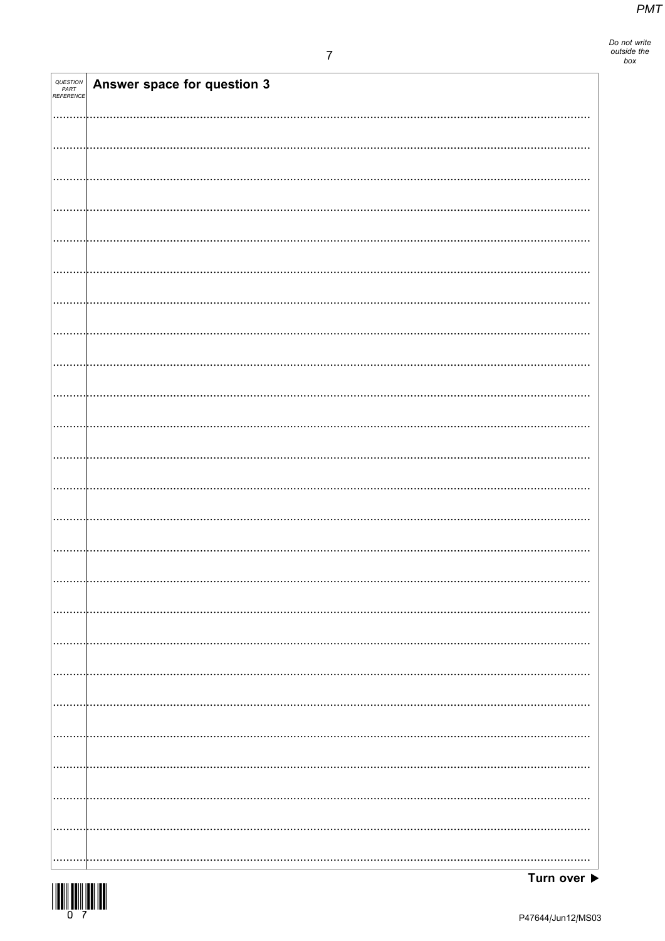Do not write<br>outside the<br>box

| QUESTION<br>PART<br>REFERENCE | Answer space for question 3 |
|-------------------------------|-----------------------------|
|                               |                             |
|                               |                             |
|                               |                             |
|                               |                             |
|                               |                             |
|                               |                             |
|                               |                             |
|                               |                             |
|                               |                             |
|                               |                             |
|                               |                             |
|                               |                             |
|                               |                             |
|                               |                             |
|                               |                             |
|                               |                             |
|                               |                             |
|                               |                             |
|                               |                             |
|                               |                             |
|                               |                             |
|                               |                             |
|                               |                             |
|                               |                             |
|                               |                             |
|                               |                             |

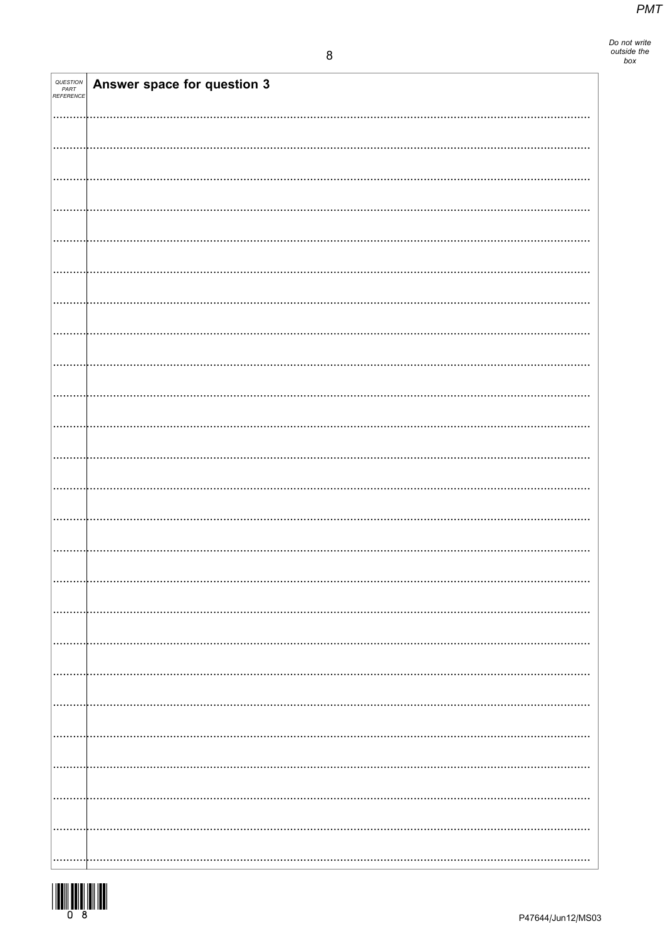| QUESTION<br>PART<br>REFERENCE | Answer space for question 3 |
|-------------------------------|-----------------------------|
|                               |                             |
|                               |                             |
|                               |                             |
|                               |                             |
|                               |                             |
|                               |                             |
|                               |                             |
|                               |                             |
|                               |                             |
|                               |                             |
|                               |                             |
|                               |                             |
|                               |                             |
|                               |                             |
|                               |                             |
|                               |                             |
|                               |                             |
|                               |                             |
|                               |                             |
|                               |                             |
|                               |                             |
|                               |                             |
|                               |                             |
|                               |                             |
|                               |                             |
|                               |                             |
|                               |                             |
|                               |                             |

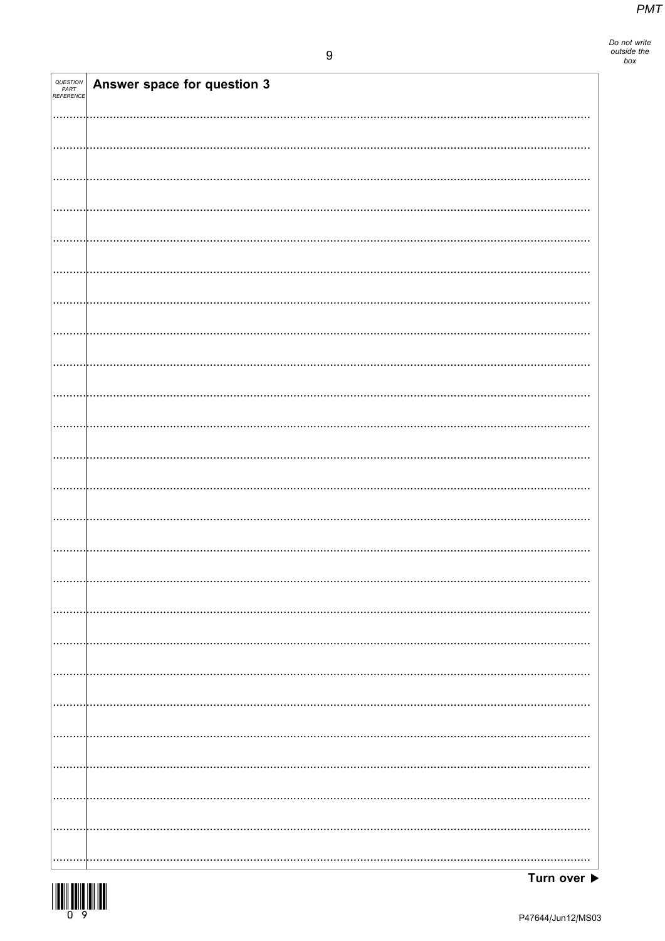Do not write<br>outside the<br>box

| QUESTION<br>PART<br>REFERENCE | Answer space for question 3 |
|-------------------------------|-----------------------------|
|                               |                             |
|                               |                             |
|                               |                             |
|                               |                             |
|                               |                             |
|                               |                             |
|                               |                             |
|                               |                             |
|                               |                             |
|                               |                             |
|                               |                             |
|                               |                             |
|                               |                             |
|                               |                             |
|                               |                             |
|                               |                             |
|                               |                             |
|                               |                             |
|                               |                             |
|                               |                             |
|                               |                             |
|                               |                             |
|                               |                             |
|                               |                             |
|                               |                             |
|                               |                             |



Turn over  $\blacktriangleright$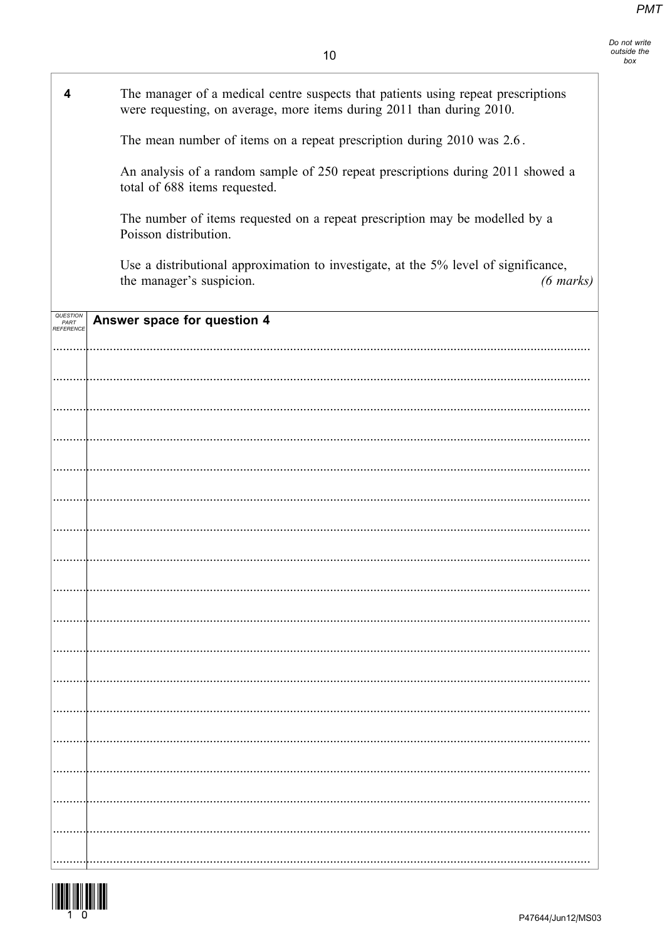| 4                             | The manager of a medical centre suspects that patients using repeat prescriptions<br>were requesting, on average, more items during 2011 than during 2010. |
|-------------------------------|------------------------------------------------------------------------------------------------------------------------------------------------------------|
|                               | The mean number of items on a repeat prescription during 2010 was 2.6.                                                                                     |
|                               | An analysis of a random sample of 250 repeat prescriptions during 2011 showed a<br>total of 688 items requested.                                           |
|                               | The number of items requested on a repeat prescription may be modelled by a<br>Poisson distribution.                                                       |
|                               | Use a distributional approximation to investigate, at the 5% level of significance,<br>the manager's suspicion.<br>$(6 \text{ marks})$                     |
| QUESTION<br>PART<br>REFERENCE | Answer space for question 4                                                                                                                                |
|                               |                                                                                                                                                            |
|                               |                                                                                                                                                            |
|                               |                                                                                                                                                            |
|                               |                                                                                                                                                            |
|                               |                                                                                                                                                            |
|                               |                                                                                                                                                            |
|                               |                                                                                                                                                            |
|                               |                                                                                                                                                            |
|                               |                                                                                                                                                            |
|                               |                                                                                                                                                            |
|                               |                                                                                                                                                            |
|                               |                                                                                                                                                            |
|                               |                                                                                                                                                            |
|                               |                                                                                                                                                            |
|                               |                                                                                                                                                            |
|                               |                                                                                                                                                            |
|                               |                                                                                                                                                            |
|                               |                                                                                                                                                            |
|                               |                                                                                                                                                            |
|                               |                                                                                                                                                            |

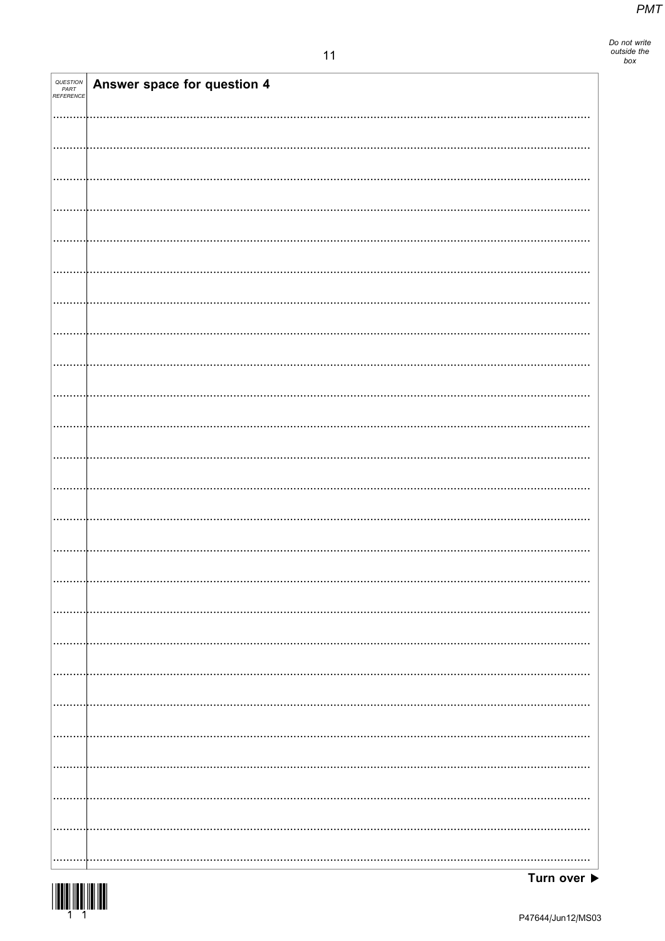Do not write<br>outside the<br>box

| QUESTION<br>PART<br>REFERENCE | Answer space for question 4 |
|-------------------------------|-----------------------------|
|                               |                             |
|                               |                             |
|                               |                             |
|                               |                             |
|                               |                             |
|                               |                             |
|                               |                             |
|                               |                             |
|                               |                             |
|                               |                             |
|                               |                             |
|                               |                             |
|                               |                             |
|                               |                             |
|                               |                             |
|                               |                             |
|                               |                             |
|                               |                             |
|                               |                             |
|                               |                             |
|                               |                             |
|                               |                             |
|                               |                             |
|                               |                             |
|                               |                             |
|                               |                             |
|                               |                             |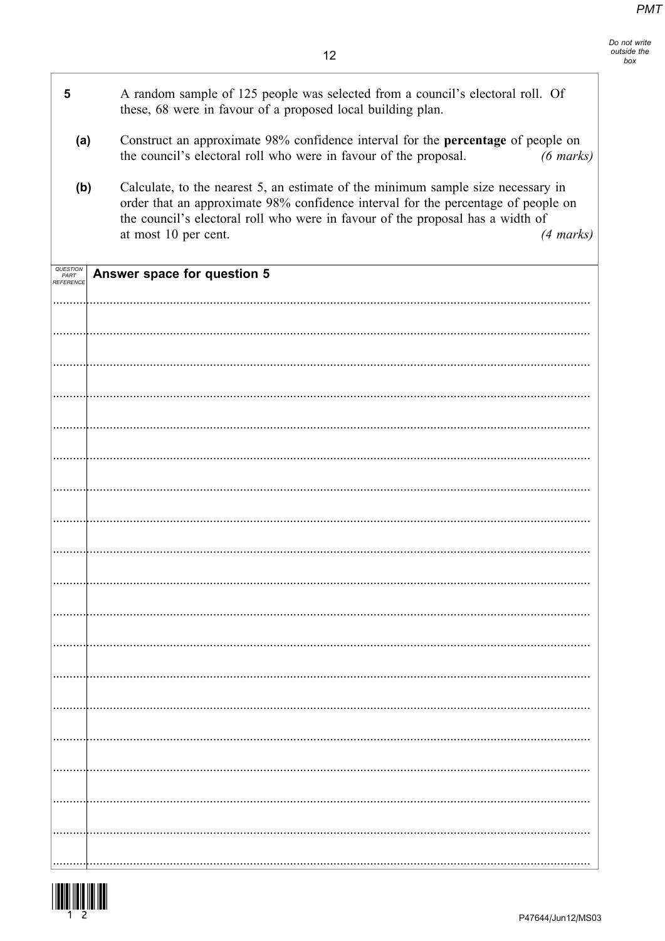| 5                 | A random sample of 125 people was selected from a council's electoral roll. Of<br>these, 68 were in favour of a proposed local building plan.                                                                                                                                                          |
|-------------------|--------------------------------------------------------------------------------------------------------------------------------------------------------------------------------------------------------------------------------------------------------------------------------------------------------|
| (a)               | Construct an approximate 98% confidence interval for the percentage of people on<br>the council's electoral roll who were in favour of the proposal.<br>$(6 \text{ marks})$                                                                                                                            |
| (b)               | Calculate, to the nearest 5, an estimate of the minimum sample size necessary in<br>order that an approximate 98% confidence interval for the percentage of people on<br>the council's electoral roll who were in favour of the proposal has a width of<br>at most 10 per cent.<br>$(4 \text{ marks})$ |
| PART<br>REFERENCE | Answer space for question 5                                                                                                                                                                                                                                                                            |
|                   |                                                                                                                                                                                                                                                                                                        |
|                   |                                                                                                                                                                                                                                                                                                        |
|                   |                                                                                                                                                                                                                                                                                                        |
|                   |                                                                                                                                                                                                                                                                                                        |
|                   |                                                                                                                                                                                                                                                                                                        |
|                   |                                                                                                                                                                                                                                                                                                        |
|                   |                                                                                                                                                                                                                                                                                                        |
|                   |                                                                                                                                                                                                                                                                                                        |
|                   |                                                                                                                                                                                                                                                                                                        |
|                   |                                                                                                                                                                                                                                                                                                        |
|                   |                                                                                                                                                                                                                                                                                                        |
|                   |                                                                                                                                                                                                                                                                                                        |
|                   |                                                                                                                                                                                                                                                                                                        |
|                   |                                                                                                                                                                                                                                                                                                        |
|                   |                                                                                                                                                                                                                                                                                                        |
|                   |                                                                                                                                                                                                                                                                                                        |
|                   |                                                                                                                                                                                                                                                                                                        |

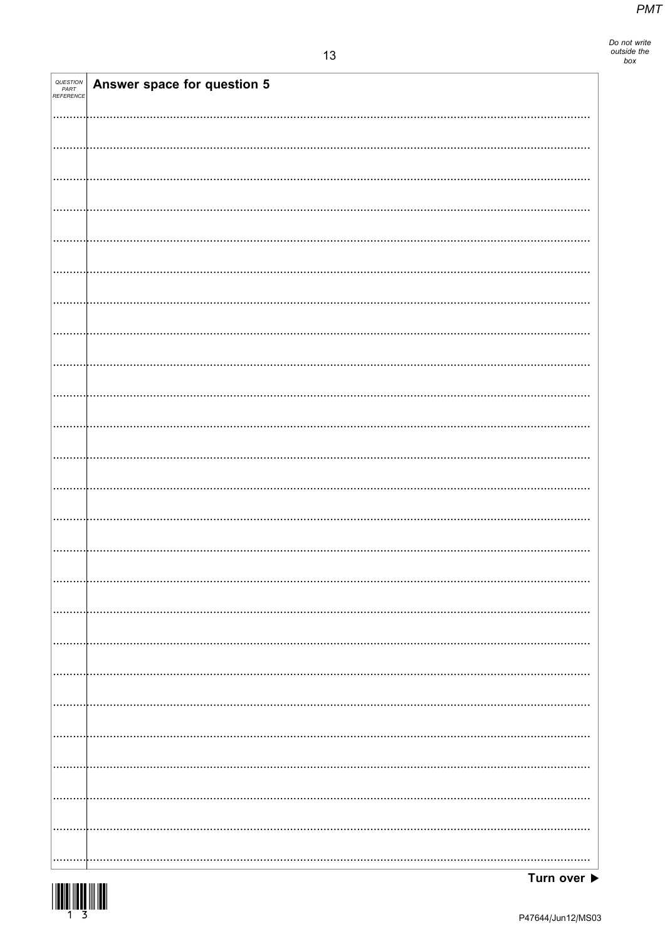Do not write<br>outside the<br>box

| QUESTION<br>PART<br>REFERENCE | Answer space for question 5 |
|-------------------------------|-----------------------------|
|                               |                             |
|                               |                             |
|                               |                             |
|                               |                             |
|                               |                             |
|                               |                             |
|                               |                             |
|                               |                             |
|                               |                             |
|                               |                             |
|                               |                             |
|                               |                             |
|                               |                             |
|                               |                             |
|                               |                             |
|                               |                             |
|                               |                             |
|                               |                             |
|                               |                             |
|                               |                             |
|                               |                             |
|                               |                             |
|                               |                             |
|                               |                             |
|                               |                             |

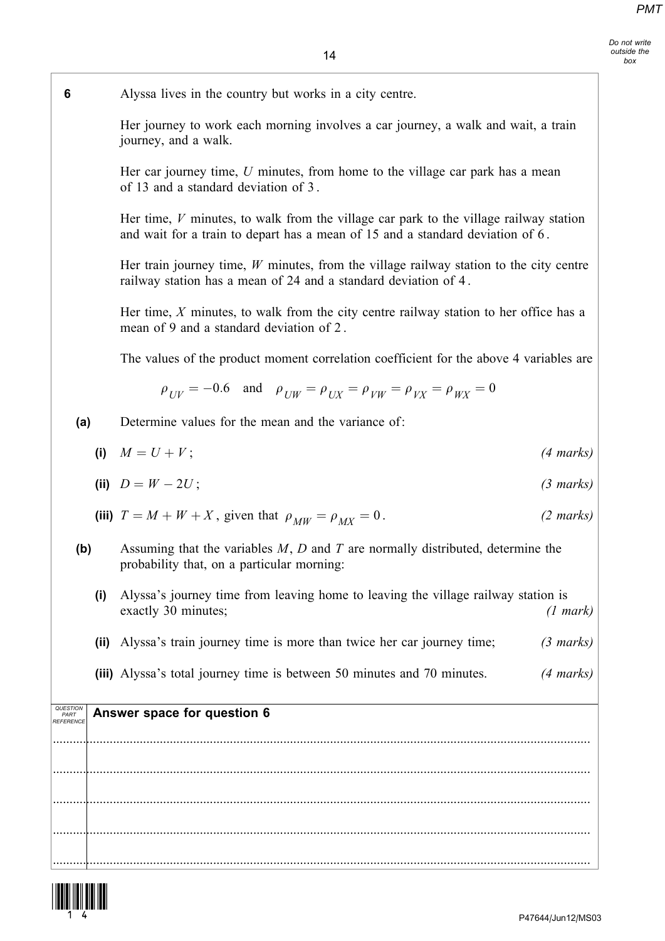Do not write outside the box

6 Alyssa lives in the country but works in a city centre.

Her journey to work each morning involves a car journey, a walk and wait, a train journey, and a walk.

Her car journey time,  $U$  minutes, from home to the village car park has a mean of 13 and a standard deviation of 3 .

Her time,  $V$  minutes, to walk from the village car park to the village railway station and wait for a train to depart has a mean of 15 and a standard deviation of 6 .

Her train journey time,  $W$  minutes, from the village railway station to the city centre railway station has a mean of 24 and a standard deviation of 4 .

Her time,  $X$  minutes, to walk from the city centre railway station to her office has a mean of 9 and a standard deviation of 2 .

The values of the product moment correlation coefficient for the above 4 variables are

$$
\rho_{UV} = -0.6 \quad \text{and} \quad \rho_{UW} = \rho_{UX} = \rho_{VW} = \rho_{VX} = \rho_{WX} = 0
$$

(a) Determine values for the mean and the variance of:

$$
(i) \quad M = U + V; \tag{4 marks}
$$

(ii) 
$$
D = W - 2U
$$
; (3 marks)

(iii) 
$$
T = M + W + X
$$
, given that  $\rho_{MW} = \rho_{MX} = 0$ . (2 marks)

- (b) Assuming that the variables  $M$ ,  $D$  and  $T$  are normally distributed, determine the probability that, on a particular morning:
	- (i) Alyssa's journey time from leaving home to leaving the village railway station is exactly 30 minutes; (1 mark)
	- (ii) Alyssa's train journey time is more than twice her car journey time;  $(3 \text{ marks})$
	- (iii) Alyssa's total journey time is between 50 minutes and 70 minutes.  $(4 \text{ marks})$

| QUESTION<br>PART<br>REFERENCE | Answer space for question 6 |
|-------------------------------|-----------------------------|
|                               |                             |
|                               |                             |
|                               |                             |
|                               |                             |

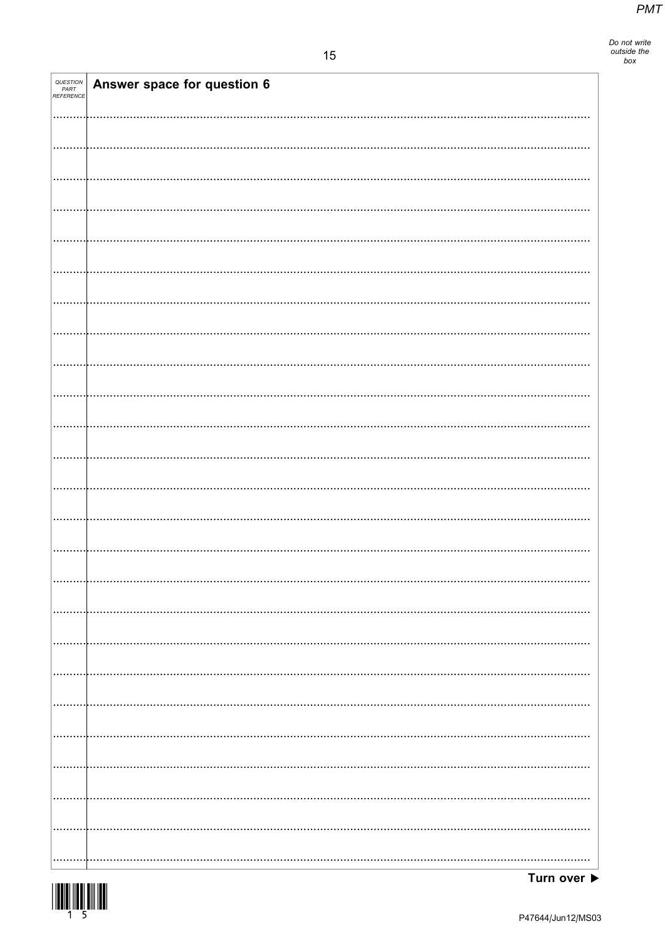Do not write<br>outside the<br>box

| QUESTION<br>PART<br>REFERENCE | Answer space for question 6 |
|-------------------------------|-----------------------------|
|                               |                             |
|                               |                             |
|                               |                             |
|                               |                             |
|                               |                             |
|                               |                             |
|                               |                             |
|                               |                             |
|                               |                             |
|                               |                             |
|                               |                             |
|                               |                             |
|                               |                             |
|                               |                             |
|                               |                             |
|                               |                             |
|                               |                             |
|                               |                             |
|                               |                             |
|                               |                             |
|                               |                             |
|                               |                             |
|                               |                             |

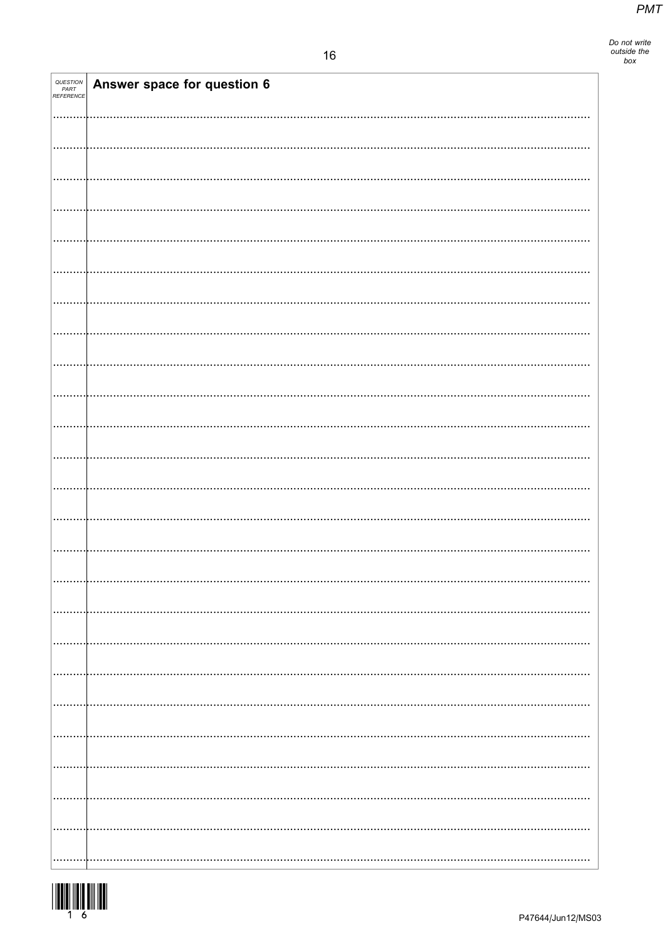| QUESTION<br>PART<br>REFERENCE | Answer space for question 6 |
|-------------------------------|-----------------------------|
|                               |                             |
|                               |                             |
|                               |                             |
|                               |                             |
|                               |                             |
|                               |                             |
|                               |                             |
|                               |                             |
|                               |                             |
|                               |                             |
|                               |                             |
|                               |                             |
|                               |                             |
|                               |                             |
|                               |                             |
|                               |                             |
|                               |                             |
|                               |                             |
|                               |                             |
|                               |                             |
|                               |                             |
|                               |                             |
|                               |                             |
|                               |                             |
|                               |                             |
|                               |                             |
|                               |                             |
|                               |                             |
|                               |                             |
|                               |                             |
|                               |                             |
|                               |                             |
|                               |                             |
|                               |                             |
|                               |                             |
|                               |                             |
|                               |                             |
|                               |                             |
|                               |                             |
|                               |                             |
|                               |                             |
|                               |                             |
|                               |                             |
|                               |                             |
|                               |                             |
|                               |                             |
|                               |                             |

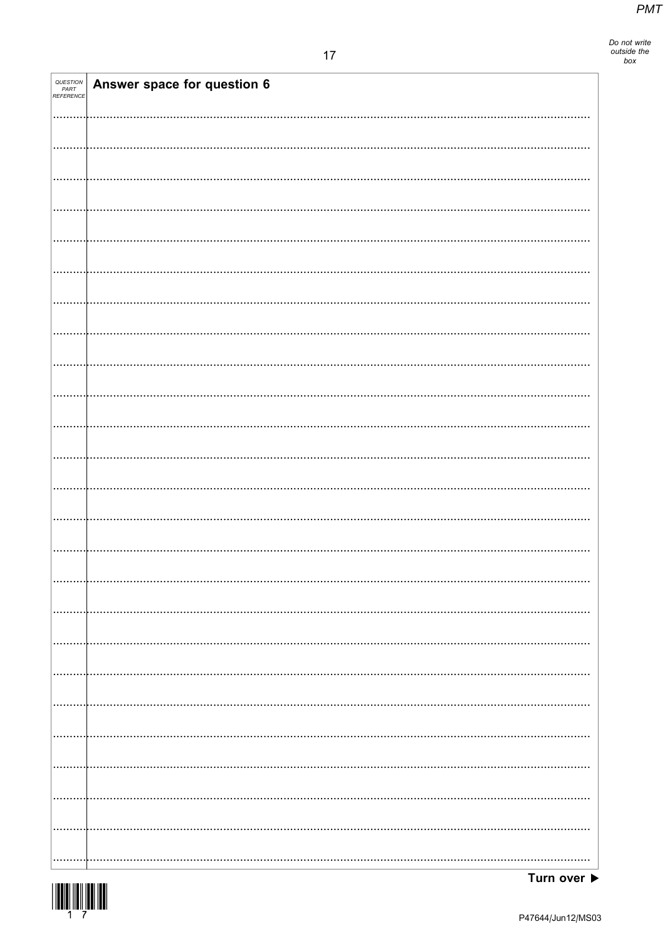| <i>QUESTION<br/>PART<br/>REFERENCE</i> | Answer space for question 6 |
|----------------------------------------|-----------------------------|
|                                        |                             |
|                                        |                             |
|                                        |                             |
|                                        |                             |
|                                        |                             |
|                                        |                             |
|                                        |                             |
|                                        |                             |
|                                        |                             |
|                                        |                             |
|                                        |                             |
|                                        |                             |
|                                        |                             |
|                                        |                             |
|                                        |                             |
|                                        |                             |
|                                        |                             |
|                                        |                             |
|                                        |                             |
|                                        |                             |
|                                        |                             |
|                                        |                             |
|                                        |                             |
|                                        |                             |
|                                        |                             |
|                                        |                             |

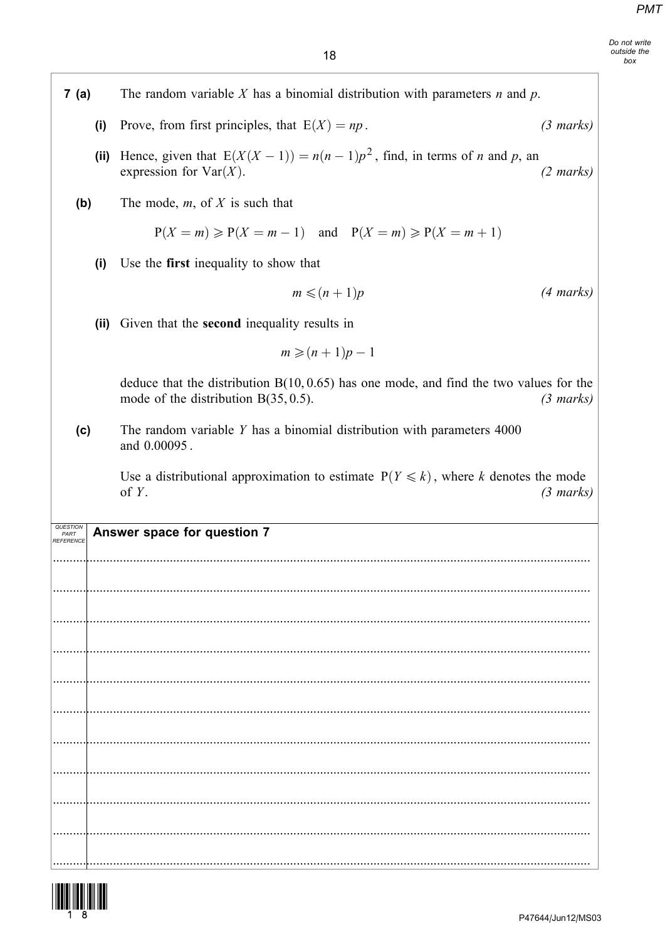| 7 (a) | The random variable X has a binomial distribution with parameters $n$ and $p$ . |                                                                                                                                     |                     |
|-------|---------------------------------------------------------------------------------|-------------------------------------------------------------------------------------------------------------------------------------|---------------------|
|       | (i)                                                                             | Prove, from first principles, that $E(X) = np$ .                                                                                    | $(3 \text{ marks})$ |
|       | (iii)                                                                           | Hence, given that $E(X(X-1)) = n(n-1)p^2$ , find, in terms of <i>n</i> and <i>p</i> , an<br>expression for $Var(X)$ .               | $(2 \text{ marks})$ |
| (b)   |                                                                                 | The mode, $m$ , of $X$ is such that                                                                                                 |                     |
|       |                                                                                 | $P(X = m) \ge P(X = m - 1)$ and $P(X = m) \ge P(X = m + 1)$                                                                         |                     |
|       | (i)                                                                             | Use the first inequality to show that                                                                                               |                     |
|       |                                                                                 | $m \leqslant (n+1)p$                                                                                                                | $(4 \text{ marks})$ |
|       | (i)                                                                             | Given that the <b>second</b> inequality results in                                                                                  |                     |
|       |                                                                                 | $m \geqslant (n+1)p-1$                                                                                                              |                     |
|       |                                                                                 | deduce that the distribution $B(10, 0.65)$ has one mode, and find the two values for the<br>mode of the distribution $B(35, 0.5)$ . | $(3 \text{ marks})$ |
| (c)   |                                                                                 | The random variable $Y$ has a binomial distribution with parameters $4000$<br>and 0.00095.                                          |                     |
|       |                                                                                 |                                                                                                                                     |                     |
|       |                                                                                 | Use a distributional approximation to estimate $P(Y \le k)$ , where k denotes the mode<br>of $Y$ .                                  | $(3 \text{ marks})$ |
|       |                                                                                 | Answer space for question 7                                                                                                         |                     |
|       |                                                                                 |                                                                                                                                     |                     |
|       |                                                                                 |                                                                                                                                     |                     |
|       |                                                                                 |                                                                                                                                     |                     |
|       |                                                                                 |                                                                                                                                     |                     |
|       |                                                                                 |                                                                                                                                     |                     |
|       |                                                                                 |                                                                                                                                     |                     |
|       |                                                                                 |                                                                                                                                     |                     |
|       |                                                                                 |                                                                                                                                     |                     |
|       |                                                                                 |                                                                                                                                     |                     |
|       |                                                                                 |                                                                                                                                     |                     |

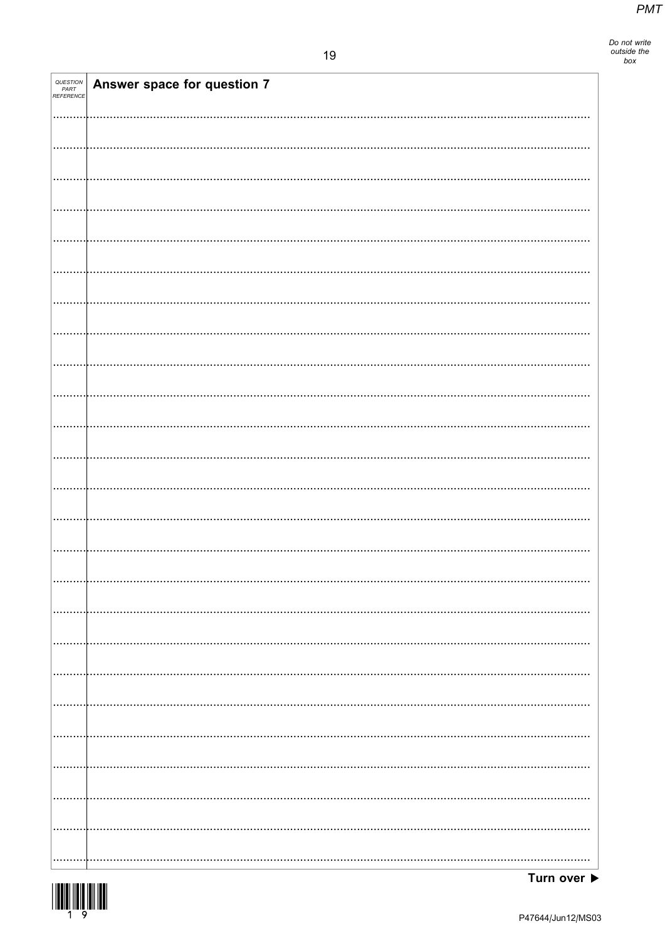| QUESTION<br>PART<br>REFERENCE | Answer space for question 7 |
|-------------------------------|-----------------------------|
|                               |                             |
|                               |                             |
|                               |                             |
|                               |                             |
|                               |                             |
|                               |                             |
|                               |                             |
|                               |                             |
|                               |                             |
|                               |                             |
|                               |                             |
|                               |                             |
|                               |                             |
|                               |                             |
|                               |                             |
|                               |                             |
|                               |                             |
|                               |                             |
|                               |                             |
|                               |                             |
|                               |                             |
|                               |                             |
|                               |                             |
|                               |                             |
|                               |                             |